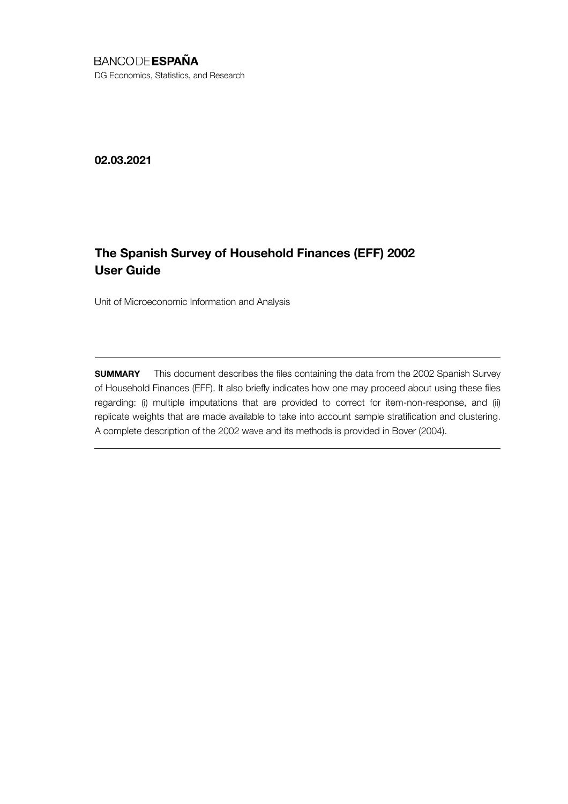# **BANCODE ESPAÑA**

DG Economics, Statistics, and Research

02.03.2021

# The Spanish Survey of Household Finances (EFF) 2002 User Guide

Unit of Microeconomic Information and Analysis

**SUMMARY** This document describes the files containing the data from the 2002 Spanish Survey of Household Finances (EFF). It also briefly indicates how one may proceed about using these files regarding: (i) multiple imputations that are provided to correct for item-non-response, and (ii) replicate weights that are made available to take into account sample stratification and clustering. A complete description of the 2002 wave and its methods is provided in Bover (2004).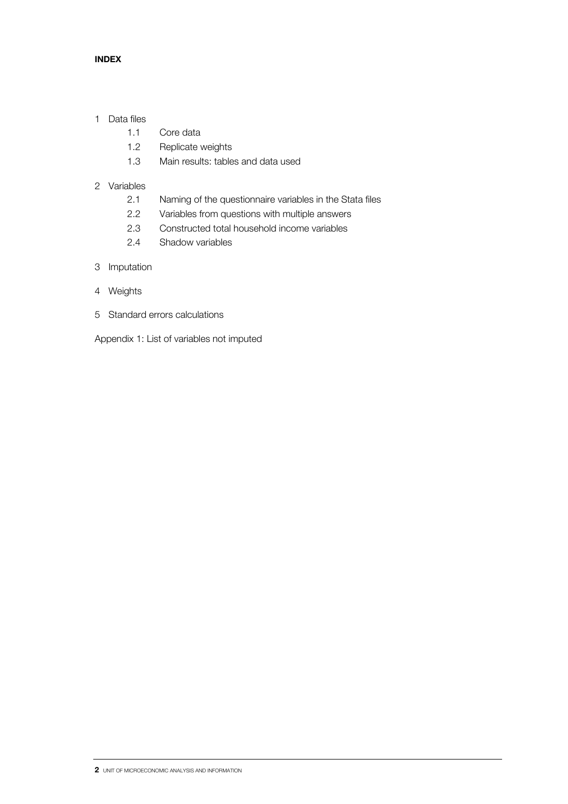# INDEX

## 1 Data files

- 1.1 Core data
- 1.2 Replicate weights
- 1.3 Main results: tables and data used

# 2 Variables

- 2.1 Naming of the questionnaire variables in the Stata files
- 2.2 Variables from questions with multiple answers
- 2.3 Constructed total household income variables
- 2.4 Shadow variables
- 3 Imputation
- 4 Weights
- 5 Standard errors calculations
- Appendix 1: List of variables not imputed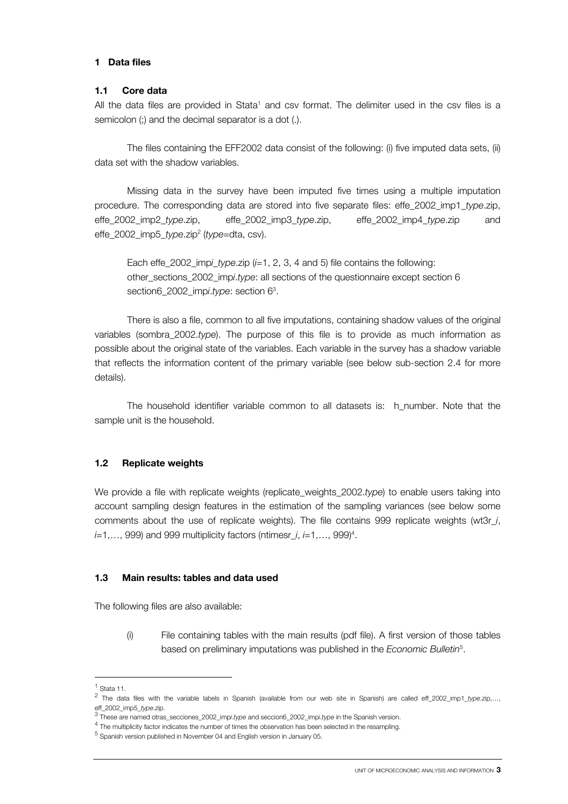#### 1 Data files

#### 1.1 Core data

All the data files are provided in Stata<sup>1</sup> and csv format. The delimiter used in the csv files is a semicolon (;) and the decimal separator is a dot (.).

 The files containing the EFF2002 data consist of the following: (i) five imputed data sets, (ii) data set with the shadow variables.

 Missing data in the survey have been imputed five times using a multiple imputation procedure. The corresponding data are stored into five separate files: effe\_2002\_imp1\_*type*.zip, effe\_2002\_imp2\_*type*.zip, effe\_2002\_imp3\_*type*.zip, effe\_2002\_imp4\_*type*.zip and effe\_2002\_imp5\_*type*.zip2 (*type=*dta, csv).

 Each effe\_2002\_imp*i\_type*.zip (*i*=1, 2, 3, 4 and 5) file contains the following: other\_sections\_2002\_imp*i*.*type*: all sections of the questionnaire except section 6 section6\_2002\_imp*i*.*type*: section 63 .

 There is also a file, common to all five imputations, containing shadow values of the original variables (sombra\_2002.*type*). The purpose of this file is to provide as much information as possible about the original state of the variables. Each variable in the survey has a shadow variable that reflects the information content of the primary variable (see below sub-section 2.4 for more details).

 The household identifier variable common to all datasets is: h\_number. Note that the sample unit is the household.

### 1.2 Replicate weights

We provide a file with replicate weights (replicate\_weights\_2002.*type*) to enable users taking into account sampling design features in the estimation of the sampling variances (see below some comments about the use of replicate weights). The file contains 999 replicate weights (wt3r\_*i*, *i*=1,..., 999) and 999 multiplicity factors (ntimesr\_*i*, *i*=1,..., 999)<sup>4</sup>.

### 1.3 Main results: tables and data used

The following files are also available:

(i) File containing tables with the main results (pdf file). A first version of those tables based on preliminary imputations was published in the *Economic Bulletin*<sup>5</sup> .

l

 $<sup>1</sup>$  Stata 11.</sup>

<sup>2</sup> The data files with the variable labels in Spanish (available from our web site in Spanish) are called eff\_2002\_imp1\_*type*.zip,…, eff\_2002\_imp5\_*type.zip.*<br><sup>3</sup> These are named otras\_secciones\_2002\_imp*i.type* and seccion6\_2002\_imp*i.type* in the Spanish version.

<sup>&</sup>lt;sup>o</sup> These are named otras\_secciones\_2002\_imp*i.type* and seccion6\_2002\_imp*i.type* in the Spanish version.<br><sup>4</sup> The multiplicity factor indicates the number of times the observation has been selected in the resampling.

<sup>&</sup>lt;sup>5</sup> Spanish version published in November 04 and English version in January 05.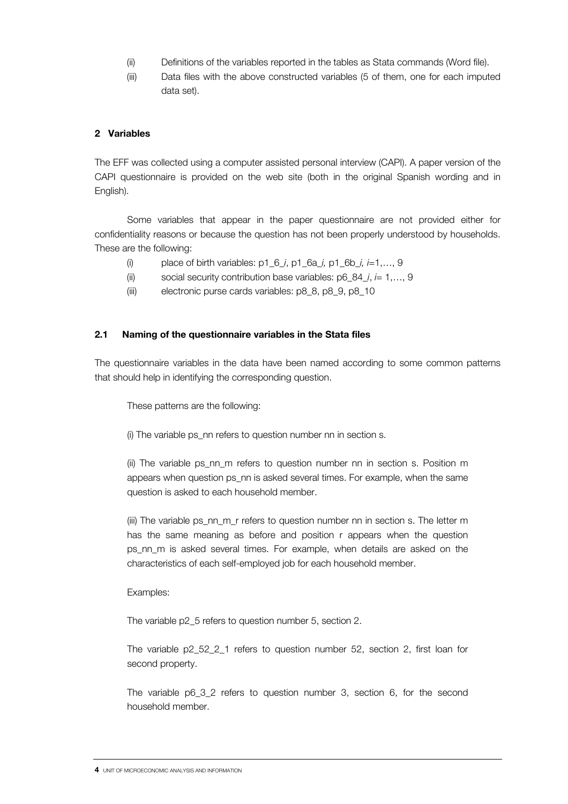- (ii) Definitions of the variables reported in the tables as Stata commands (Word file).
- (iii) Data files with the above constructed variables (5 of them, one for each imputed data set).

## 2 Variables

The EFF was collected using a computer assisted personal interview (CAPI). A paper version of the CAPI questionnaire is provided on the web site (both in the original Spanish wording and in English).

 Some variables that appear in the paper questionnaire are not provided either for confidentiality reasons or because the question has not been properly understood by households. These are the following:

- (i) place of birth variables: p1\_6\_*i*, p1\_6a\_*i,* p1\_6b\_*i, i*=1,…, 9
- (ii) social security contribution base variables: p6\_84\_*i*, *i*= 1,…, 9
- (iii) electronic purse cards variables: p8\_8, p8\_9, p8\_10

### 2.1 Naming of the questionnaire variables in the Stata files

The questionnaire variables in the data have been named according to some common patterns that should help in identifying the corresponding question.

These patterns are the following:

(i) The variable ps\_nn refers to question number nn in section s.

(ii) The variable ps\_nn\_m refers to question number nn in section s. Position m appears when question ps\_nn is asked several times. For example, when the same question is asked to each household member.

(iii) The variable ps\_nn\_m\_r refers to question number nn in section s. The letter m has the same meaning as before and position r appears when the question ps nn m is asked several times. For example, when details are asked on the characteristics of each self-employed job for each household member.

Examples:

The variable p2\_5 refers to question number 5, section 2.

The variable p2\_52\_2\_1 refers to question number 52, section 2, first loan for second property.

The variable p6\_3\_2 refers to question number 3, section 6, for the second household member.

<sup>4</sup> UNIT OF MICROECONOMIC ANALYSIS AND INFORMATION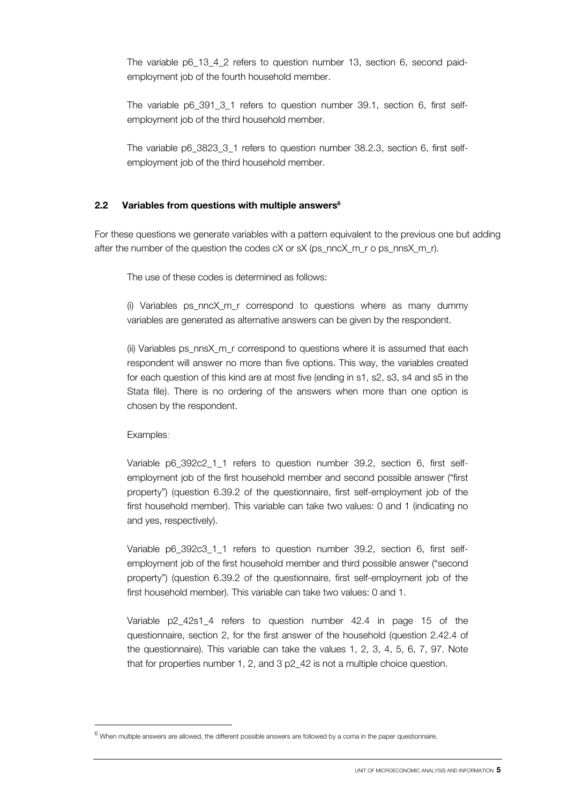The variable p6\_13\_4\_2 refers to question number 13, section 6, second paidemployment job of the fourth household member.

The variable p6\_391\_3\_1 refers to question number 39.1, section 6, first selfemployment job of the third household member.

The variable p6\_3823\_3\_1 refers to question number 38.2.3, section 6, first selfemployment job of the third household member.

#### 2.2 Variables from questions with multiple answers $6$

For these questions we generate variables with a pattern equivalent to the previous one but adding after the number of the question the codes cX or sX (ps\_nncX\_m\_r o ps\_nnsX\_m\_r).

The use of these codes is determined as follows:

(i) Variables ps\_nncX\_m\_r correspond to questions where as many dummy variables are generated as alternative answers can be given by the respondent.

(ii) Variables ps\_nnsX\_m\_r correspond to questions where it is assumed that each respondent will answer no more than five options. This way, the variables created for each question of this kind are at most five (ending in s1, s2, s3, s4 and s5 in the Stata file). There is no ordering of the answers when more than one option is chosen by the respondent.

Examples:

1

Variable p6 392c2 1 1 refers to question number 39.2, section 6, first selfemployment job of the first household member and second possible answer ("first property") (question 6.39.2 of the questionnaire, first self-employment job of the first household member). This variable can take two values: 0 and 1 (indicating no and yes, respectively).

Variable p6 392c3 1 1 refers to question number 39.2, section 6, first selfemployment job of the first household member and third possible answer ("second property") (question 6.39.2 of the questionnaire, first self-employment job of the first household member). This variable can take two values: 0 and 1.

Variable p2\_42s1\_4 refers to question number 42.4 in page 15 of the questionnaire, section 2, for the first answer of the household (question 2.42.4 of the questionnaire). This variable can take the values 1, 2, 3, 4, 5, 6, 7, 97. Note that for properties number 1, 2, and 3 p2 42 is not a multiple choice question.

 $^6$  When multiple answers are allowed, the different possible answers are followed by a coma in the paper questionnaire.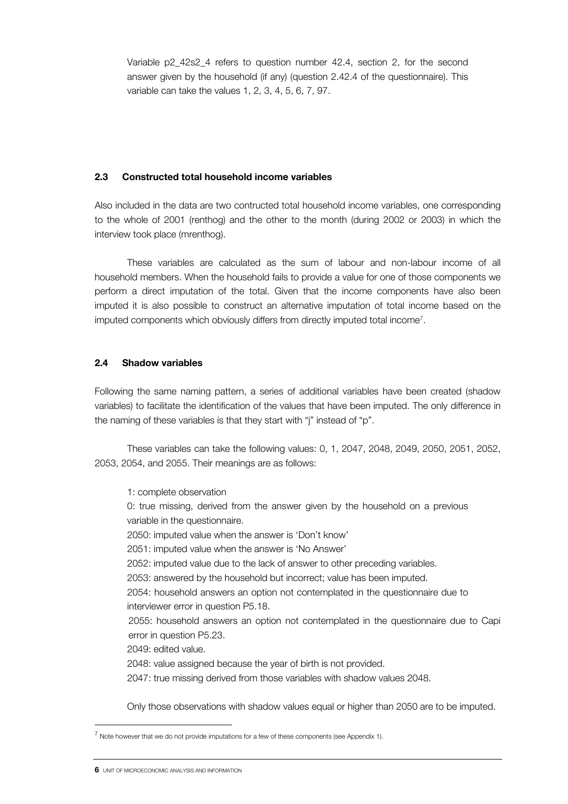Variable p2\_42s2\_4 refers to question number 42.4, section 2, for the second answer given by the household (if any) (question 2.42.4 of the questionnaire). This variable can take the values 1, 2, 3, 4, 5, 6, 7, 97.

# 2.3 Constructed total household income variables

Also included in the data are two contructed total household income variables, one corresponding to the whole of 2001 (renthog) and the other to the month (during 2002 or 2003) in which the interview took place (mrenthog).

 These variables are calculated as the sum of labour and non-labour income of all household members. When the household fails to provide a value for one of those components we perform a direct imputation of the total. Given that the income components have also been imputed it is also possible to construct an alternative imputation of total income based on the imputed components which obviously differs from directly imputed total income7 .

# 2.4 Shadow variables

Following the same naming pattern, a series of additional variables have been created (shadow variables) to facilitate the identification of the values that have been imputed. The only difference in the naming of these variables is that they start with "j" instead of "p".

 These variables can take the following values: 0, 1, 2047, 2048, 2049, 2050, 2051, 2052, 2053, 2054, and 2055. Their meanings are as follows:

1: complete observation

0: true missing, derived from the answer given by the household on a previous variable in the questionnaire.

2050: imputed value when the answer is 'Don't know'

2051: imputed value when the answer is 'No Answer'

2052: imputed value due to the lack of answer to other preceding variables.

2053: answered by the household but incorrect; value has been imputed.

2054: household answers an option not contemplated in the questionnaire due to interviewer error in question P5.18.

2055: household answers an option not contemplated in the questionnaire due to Capi error in question P5.23.

2049: edited value.

2048: value assigned because the year of birth is not provided.

2047: true missing derived from those variables with shadow values 2048.

Only those observations with shadow values equal or higher than 2050 are to be imputed.

1

 $^7$  Note however that we do not provide imputations for a few of these components (see Appendix 1).

**<sup>6</sup>** UNIT OF MICROECONOMIC ANALYSIS AND INFORMATION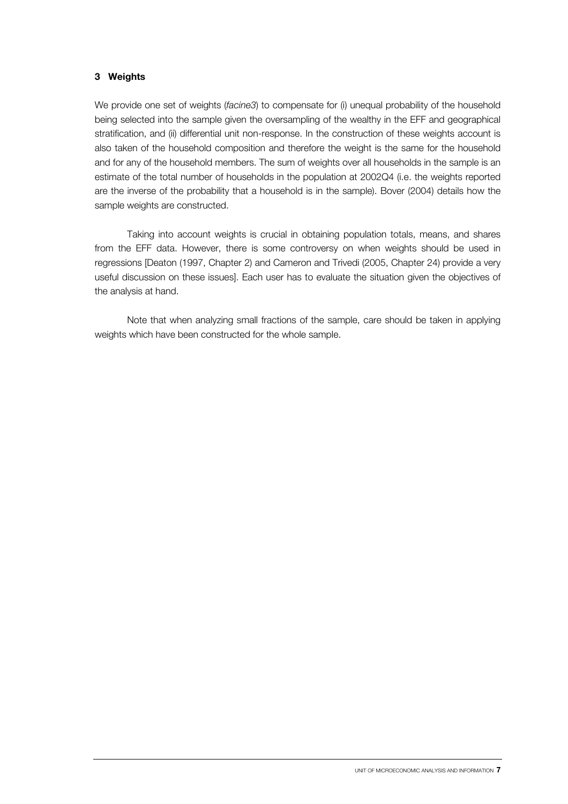## 3 Weights

We provide one set of weights (*facine3*) to compensate for (i) unequal probability of the household being selected into the sample given the oversampling of the wealthy in the EFF and geographical stratification, and (ii) differential unit non-response. In the construction of these weights account is also taken of the household composition and therefore the weight is the same for the household and for any of the household members. The sum of weights over all households in the sample is an estimate of the total number of households in the population at 2002Q4 (i.e. the weights reported are the inverse of the probability that a household is in the sample). Bover (2004) details how the sample weights are constructed.

 Taking into account weights is crucial in obtaining population totals, means, and shares from the EFF data. However, there is some controversy on when weights should be used in regressions [Deaton (1997, Chapter 2) and Cameron and Trivedi (2005, Chapter 24) provide a very useful discussion on these issues]. Each user has to evaluate the situation given the objectives of the analysis at hand.

 Note that when analyzing small fractions of the sample, care should be taken in applying weights which have been constructed for the whole sample.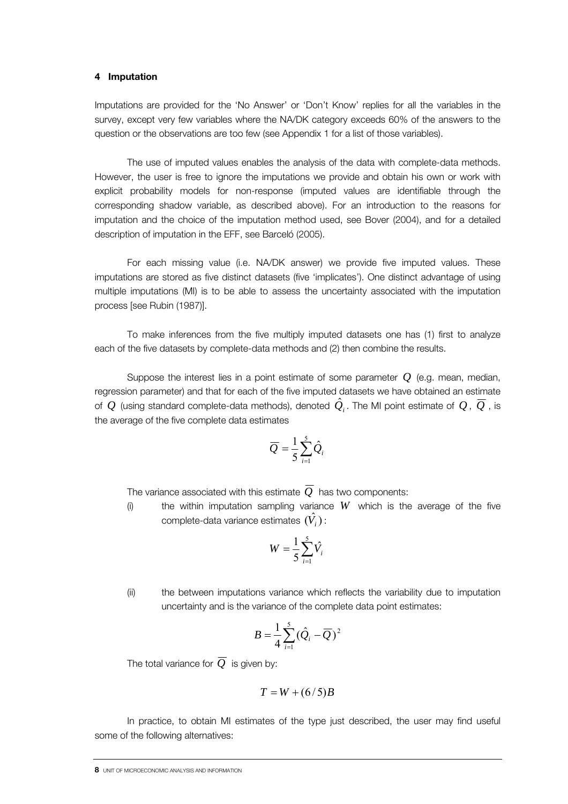#### 4 Imputation

Imputations are provided for the 'No Answer' or 'Don't Know' replies for all the variables in the survey, except very few variables where the NA/DK category exceeds 60% of the answers to the question or the observations are too few (see Appendix 1 for a list of those variables).

 The use of imputed values enables the analysis of the data with complete-data methods. However, the user is free to ignore the imputations we provide and obtain his own or work with explicit probability models for non-response (imputed values are identifiable through the corresponding shadow variable, as described above). For an introduction to the reasons for imputation and the choice of the imputation method used, see Bover (2004), and for a detailed description of imputation in the EFF, see Barceló (2005).

 For each missing value (i.e. NA/DK answer) we provide five imputed values. These imputations are stored as five distinct datasets (five 'implicates'). One distinct advantage of using multiple imputations (MI) is to be able to assess the uncertainty associated with the imputation process [see Rubin (1987)].

 To make inferences from the five multiply imputed datasets one has (1) first to analyze each of the five datasets by complete-data methods and (2) then combine the results.

 Suppose the interest lies in a point estimate of some parameter *Q* (e.g. mean, median, regression parameter) and that for each of the five imputed datasets we have obtained an estimate of  $Q$  (using standard complete-data methods), denoted  $\hat{Q}_i$ . The MI point estimate of  $Q$  ,  $\overline{Q}$  , is the average of the five complete data estimates

$$
\overline{Q} = \frac{1}{5} \sum_{i=1}^{5} \hat{Q}_i
$$

The variance associated with this estimate  $\overline{Q}$  has two components:

(i) the within imputation sampling variance *W* which is the average of the five complete-data variance estimates  $(\hat{V}_i)$ :

$$
W = \frac{1}{5} \sum_{i=1}^{5} \hat{V}_i
$$

(ii) the between imputations variance which reflects the variability due to imputation uncertainty and is the variance of the complete data point estimates:

$$
B=\frac{1}{4}\sum_{i=1}^{5}(\hat{Q}_i-\overline{Q})^2
$$

The total variance for  $\overline{O}$  is given by:

$$
T = W + (6/5)B
$$

 In practice, to obtain MI estimates of the type just described, the user may find useful some of the following alternatives:

<sup>8</sup> UNIT OF MICROECONOMIC ANALYSIS AND INFORMATION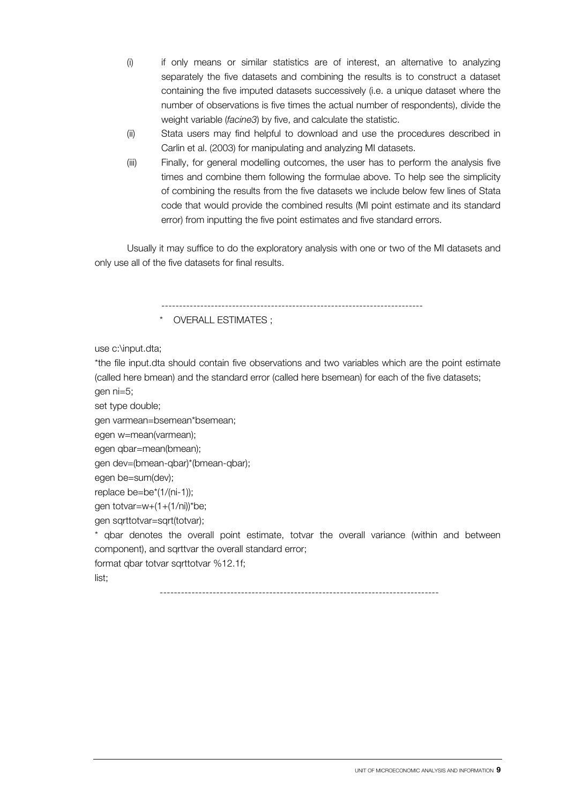- (i) if only means or similar statistics are of interest, an alternative to analyzing separately the five datasets and combining the results is to construct a dataset containing the five imputed datasets successively (i.e. a unique dataset where the number of observations is five times the actual number of respondents), divide the weight variable (*facine3*) by five, and calculate the statistic.
- (ii) Stata users may find helpful to download and use the procedures described in Carlin et al. (2003) for manipulating and analyzing MI datasets.
- (iii) Finally, for general modelling outcomes, the user has to perform the analysis five times and combine them following the formulae above. To help see the simplicity of combining the results from the five datasets we include below few lines of Stata code that would provide the combined results (MI point estimate and its standard error) from inputting the five point estimates and five standard errors.

 Usually it may suffice to do the exploratory analysis with one or two of the MI datasets and only use all of the five datasets for final results.

--------------------------------------------------------------------------

OVERALL ESTIMATES ;

use c:\input.dta;

\*the file input.dta should contain five observations and two variables which are the point estimate (called here bmean) and the standard error (called here bsemean) for each of the five datasets; gen ni=5;

set type double;

```
gen varmean=bsemean*bsemean;
```
egen w=mean(varmean);

```
egen qbar=mean(bmean);
```
gen dev=(bmean-qbar)\*(bmean-qbar);

egen be=sum(dev);

replace be=be\*(1/(ni-1));

gen totvar=w+(1+(1/ni))\*be;

gen sqrttotvar=sqrt(totvar);

\* qbar denotes the overall point estimate, totvar the overall variance (within and between component), and sqrttvar the overall standard error;

format qbar totvar sqrttotvar %12.1f;

list;

-------------------------------------------------------------------------------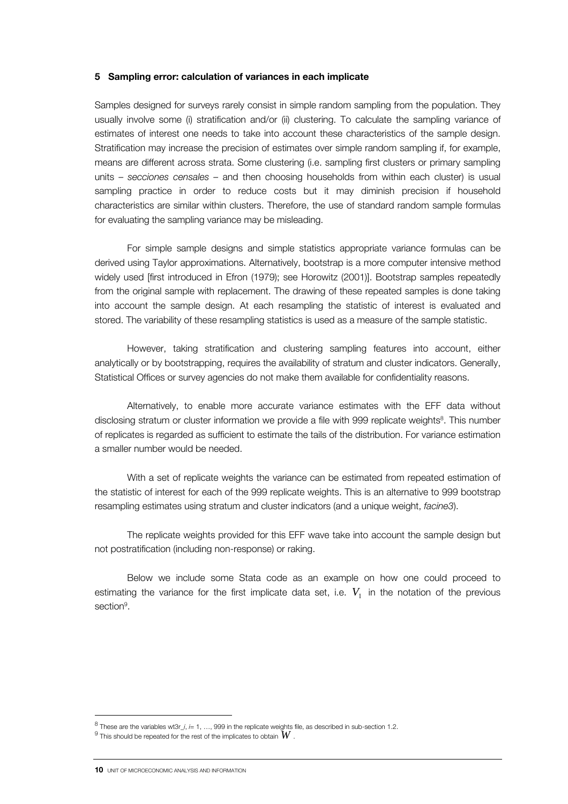#### 5 Sampling error: calculation of variances in each implicate

Samples designed for surveys rarely consist in simple random sampling from the population. They usually involve some (i) stratification and/or (ii) clustering. To calculate the sampling variance of estimates of interest one needs to take into account these characteristics of the sample design. Stratification may increase the precision of estimates over simple random sampling if, for example, means are different across strata. Some clustering (i.e. sampling first clusters or primary sampling units – *secciones censales –* and then choosing households from within each cluster) is usual sampling practice in order to reduce costs but it may diminish precision if household characteristics are similar within clusters. Therefore, the use of standard random sample formulas for evaluating the sampling variance may be misleading.

 For simple sample designs and simple statistics appropriate variance formulas can be derived using Taylor approximations. Alternatively, bootstrap is a more computer intensive method widely used [first introduced in Efron (1979); see Horowitz (2001)]. Bootstrap samples repeatedly from the original sample with replacement. The drawing of these repeated samples is done taking into account the sample design. At each resampling the statistic of interest is evaluated and stored. The variability of these resampling statistics is used as a measure of the sample statistic.

 However, taking stratification and clustering sampling features into account, either analytically or by bootstrapping, requires the availability of stratum and cluster indicators. Generally, Statistical Offices or survey agencies do not make them available for confidentiality reasons.

 Alternatively, to enable more accurate variance estimates with the EFF data without disclosing stratum or cluster information we provide a file with 999 replicate weights<sup>8</sup>. This number of replicates is regarded as sufficient to estimate the tails of the distribution. For variance estimation a smaller number would be needed.

 With a set of replicate weights the variance can be estimated from repeated estimation of the statistic of interest for each of the 999 replicate weights. This is an alternative to 999 bootstrap resampling estimates using stratum and cluster indicators (and a unique weight, *facine3*).

 The replicate weights provided for this EFF wave take into account the sample design but not postratification (including non-response) or raking.

 Below we include some Stata code as an example on how one could proceed to estimating the variance for the first implicate data set, i.e.  $V_1$  in the notation of the previous section<sup>9</sup>.

j

 $^8$  These are the variables wt3r\_*j*, *i=* 1, …, 999 in the replicate weights file, as described in sub-section 1.2.  $9$  This should be repeated for the rest of the implicates to obtain  $W$ 

 $^{9}$  This should be repeated for the rest of the implicates to obtain  $W$  .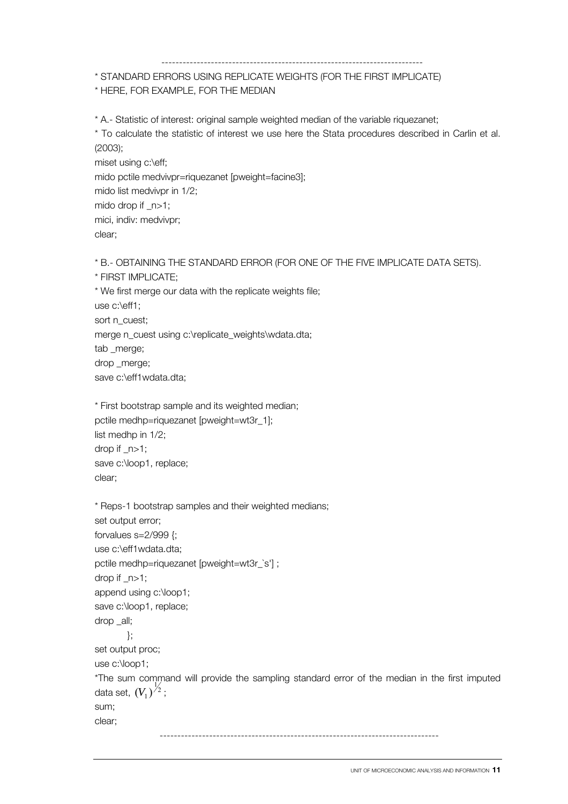#### --------------------------------------------------------------------------

# \* STANDARD ERRORS USING REPLICATE WEIGHTS (FOR THE FIRST IMPLICATE)

# \* HERE, FOR EXAMPLE, FOR THE MEDIAN

\* A.- Statistic of interest: original sample weighted median of the variable riquezanet;

\* To calculate the statistic of interest we use here the Stata procedures described in Carlin et al. (2003); miset using c:\eff;

mido pctile medvivpr=riquezanet [pweight=facine3]; mido list medvivpr in 1/2; mido drop if \_n>1; mici, indiv: medvivpr; clear;

\* B.- OBTAINING THE STANDARD ERROR (FOR ONE OF THE FIVE IMPLICATE DATA SETS). \* FIRST IMPLICATE; \* We first merge our data with the replicate weights file; use c:\eff1; sort n\_cuest; merge n\_cuest using c:\replicate\_weights\wdata.dta; tab \_merge; drop \_merge; save c:\eff1wdata.dta;

```
* First bootstrap sample and its weighted median; 
pctile medhp=riquezanet [pweight=wt3r_1]; 
list medhp in 1/2; 
drop if _n>1; 
save c:\loop1, replace; 
clear;
```

```
* Reps-1 bootstrap samples and their weighted medians; 
set output error;
forvalues s=2/999 {; 
use c:\eff1wdata.dta; 
pctile medhp=riquezanet [pweight=wt3r_`s'] ; 
drop if _n>1; 
append using c:\loop1; 
save c:\loop1, replace;
drop _all; 
         }; 
set output proc; 
use c:\loop1; 
*The sum command will provide the sampling standard error of the median in the first imputed 
data set, \left(V_{1}\right)^{\frac{1}{2}};
sum; 
clear; 
                                   -------------------------------------------------------------------------------
```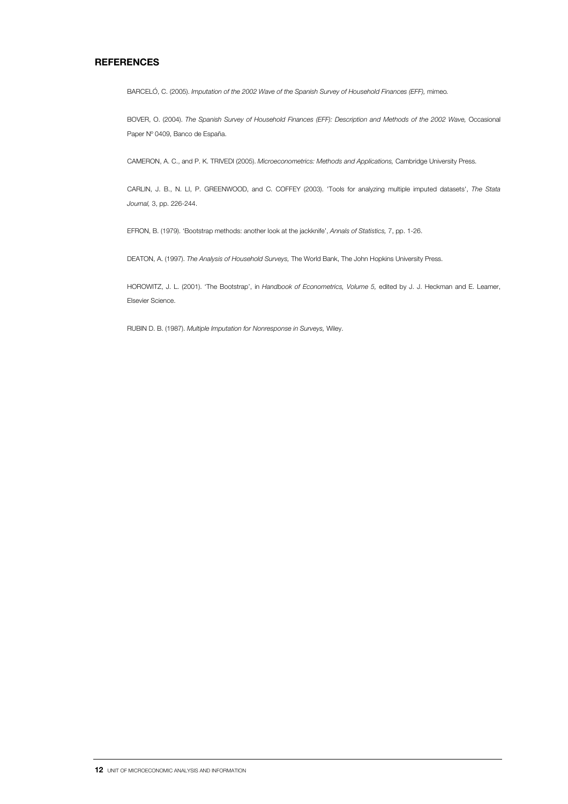#### **REFERENCES**

BARCELÓ, C. (2005). *Imputation of the 2002 Wave of the Spanish Survey of Household Finances (EFF),* mimeo*.* 

BOVER, O. (2004). *The Spanish Survey of Household Finances (EFF): Description and Methods of the 2002 Wave, Occasional* Paper Nº 0409, Banco de España.

CAMERON, A. C., and P. K. TRIVEDI (2005). *Microeconometrics: Methods and Applications,* Cambridge University Press.

CARLIN, J. B., N. LI, P. GREENWOOD, and C. COFFEY (2003). 'Tools for analyzing multiple imputed datasets', *The Stata Journal,* 3, pp. 226-244.

EFRON, B. (1979). 'Bootstrap methods: another look at the jackknife', *Annals of Statistics,* 7, pp. 1-26.

DEATON, A. (1997). *The Analysis of Household Surveys,* The World Bank, The John Hopkins University Press.

HOROWITZ, J. L. (2001). 'The Bootstrap', in *Handbook of Econometrics, Volume 5,* edited by J. J. Heckman and E. Leamer, Elsevier Science.

RUBIN D. B. (1987). *Multiple Imputation for Nonresponse in Surveys,* Wiley.